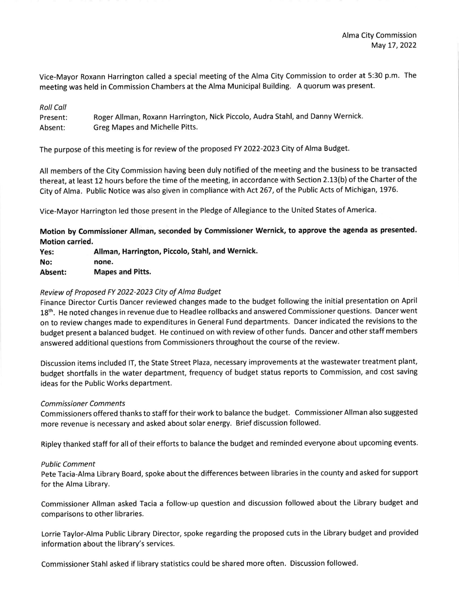Vice-Mayor Roxann Harrington called a special meeting of the Alma City Commission to order at 5:30 p.m. The meeting was held in commission chambers at the Alma Municipal Building. A quorum was present.

| <b>Roll Call</b> |                                                                                |
|------------------|--------------------------------------------------------------------------------|
| Present:         | Roger Allman, Roxann Harrington, Nick Piccolo, Audra Stahl, and Danny Wernick. |
| Absent:          | Greg Mapes and Michelle Pitts.                                                 |

The purpose of this meeting is for review of the proposed FY 2022-2023 Cily of Alma Budget.

All members of the City Commission having been duly notified of the meeting and the business to be transacted thereat, at least 12 hours before the time of the meeting, in accordance with Section 2.13(b) of the Charter of the City of Alma. Public Notice was also given in compliance with Act 267, of the Public Acts of Michigan, 1976.

Vice-Mayor Harrlngton led those present in the Pledge of Allegiance to the United States of America.

Motion by Commissioner Allman, seconded by Commissioner Wernick, to approve the agenda as presented. Motion carried.

| Yes:    | Allman, Harrington, Piccolo, Stahl, and Wernick. |
|---------|--------------------------------------------------|
| No:     | none.                                            |
| Absent: | <b>Mapes and Pitts.</b>                          |

## Review of Proposed FY 2022-2023 City of Alma Budget

Finance Director Curtis Dancer reviewed changes made to the budget following the initial presentation on April 18<sup>th</sup>. He noted changes in revenue due to Headlee rollbacks and answered Commissioner questions. Dancer went on to review changes made to expenditures in General Fund departments. Dancer indicated the revisions to the budget present a balanced budget. He continued on with review of other funds. Dancer and other staff members answered additional questions from Commissioners throughout the course of the review.

Discussion items included lT, the State Street Plaza, necessary improvements at the wastewater treatment plant, budget shortfalls in the water department, frequency of budget status reports to Commission, and cost saving ideas for the Public Works department.

## Commissioner Comments

Commissioners offered thanks to staff for their work to balance the budget. Commissioner Allman also suggested more revenue is necessary and asked about solar energy. Brief discussion followed'

Ripley thanked staff for all of their efforts to balance the budget and reminded everyone about upcoming events.

## Public Comment

pete Tacia-Alma Library Board, spoke about the differences between libraries in the county and asked for support for the Alma Library.

Commissioner Allman asked Tacia a follow-up question and discussion followed about the Library budget and comparisons to other libraries.

Lorrie Taylor-Alma Public Library Director, spoke regarding the proposed cuts in the Library budget and provided information about the library's services.

Commissioner Stahl asked if library statistics could be shared more often. Discussion followed